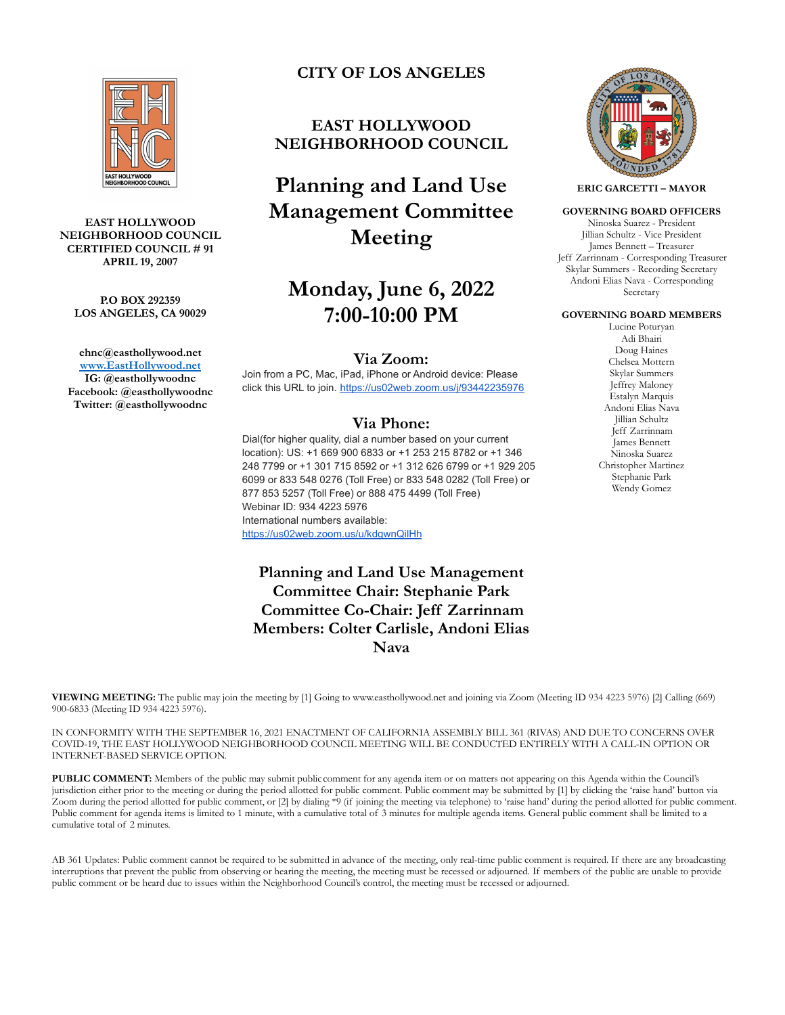

#### **EAST HOLLYWOOD NEIGHBORHOOD COUNCIL CERTIFIED COUNCIL # 91 APRIL 19, 2007**

#### **P.O BOX 292359 LOS ANGELES, CA 90029**

**ehnc@easthollywood.net [www.EastHollywood.net](http://www.easthollywood.net) IG: @easthollywoodnc Facebook: @easthollywoodnc Twitter: @easthollywoodnc**

# **CITY OF LOS ANGELES**

# **EAST HOLLYWOOD NEIGHBORHOOD COUNCIL**

# **Planning and Land Use Management Committee Meeting**

# **Monday, June 6, 2022 7:00-10:00 PM**

### **Via Zoom:**

Join from a PC, Mac, iPad, iPhone or Android device: Please click this URL to join. <https://us02web.zoom.us/j/93442235976>

## **Via Phone:**

Dial(for higher quality, dial a number based on your current location): US: +1 669 900 6833 or +1 253 215 8782 or +1 346 248 7799 or +1 301 715 8592 or +1 312 626 6799 or +1 929 205 6099 or 833 548 0276 (Toll Free) or 833 548 0282 (Toll Free) or 877 853 5257 (Toll Free) or 888 475 4499 (Toll Free) Webinar ID: 934 4223 5976 International numbers available: <https://us02web.zoom.us/u/kdgwnQilHh>

**Planning and Land Use Management Committee Chair: Stephanie Park Committee Co-Chair: Jeff Zarrinnam Members: Colter Carlisle, Andoni Elias Nava**



IN CONFORMITY WITH THE SEPTEMBER 16, 2021 ENACTMENT OF CALIFORNIA ASSEMBLY BILL 361 (RIVAS) AND DUE TO CONCERNS OVER COVID-19, THE EAST HOLLYWOOD NEIGHBORHOOD COUNCIL MEETING WILL BE CONDUCTED ENTIRELY WITH A CALL-IN OPTION OR INTERNET-BASED SERVICE OPTION.

**PUBLIC COMMENT:** Members of the public may submit public comment for any agenda item or on matters not appearing on this Agenda within the Council's jurisdiction either prior to the meeting or during the period allotted for public comment. Public comment may be submitted by [1] by clicking the 'raise hand' button via Zoom during the period allotted for public comment, or [2] by dialing \*9 (if joining the meeting via telephone) to 'raise hand' during the period allotted for public comment. Public comment for agenda items is limited to 1 minute, with a cumulative total of 3 minutes for multiple agenda items. General public comment shall be limited to a cumulative total of 2 minutes.

AB 361 Updates: Public comment cannot be required to be submitted in advance of the meeting, only real-time public comment is required. If there are any broadcasting interruptions that prevent the public from observing or hearing the meeting, the meeting must be recessed or adjourned. If members of the public are unable to provide public comment or be heard due to issues within the Neighborhood Council's control, the meeting must be recessed or adjourned.



**ERIC GARCETTI – MAYOR**

#### **GOVERNING BOARD OFFICERS**

Ninoska Suarez - President Jillian Schultz - Vice President James Bennett – Treasurer Jeff Zarrinnam - Corresponding Treasurer Skylar Summers - Recording Secretary Andoni Elias Nava - Corresponding Secretary

### **GOVERNING BOARD MEMBERS**

Lucine Poturyan Adi Bhairi Doug Haines Chelsea Mottern Skylar Summers Jeffrey Maloney Estalyn Marquis Andoni Elias Nava Jillian Schultz Jeff Zarrinnam James Bennett Ninoska Suarez Christopher Martinez Stephanie Park Wendy Gomez